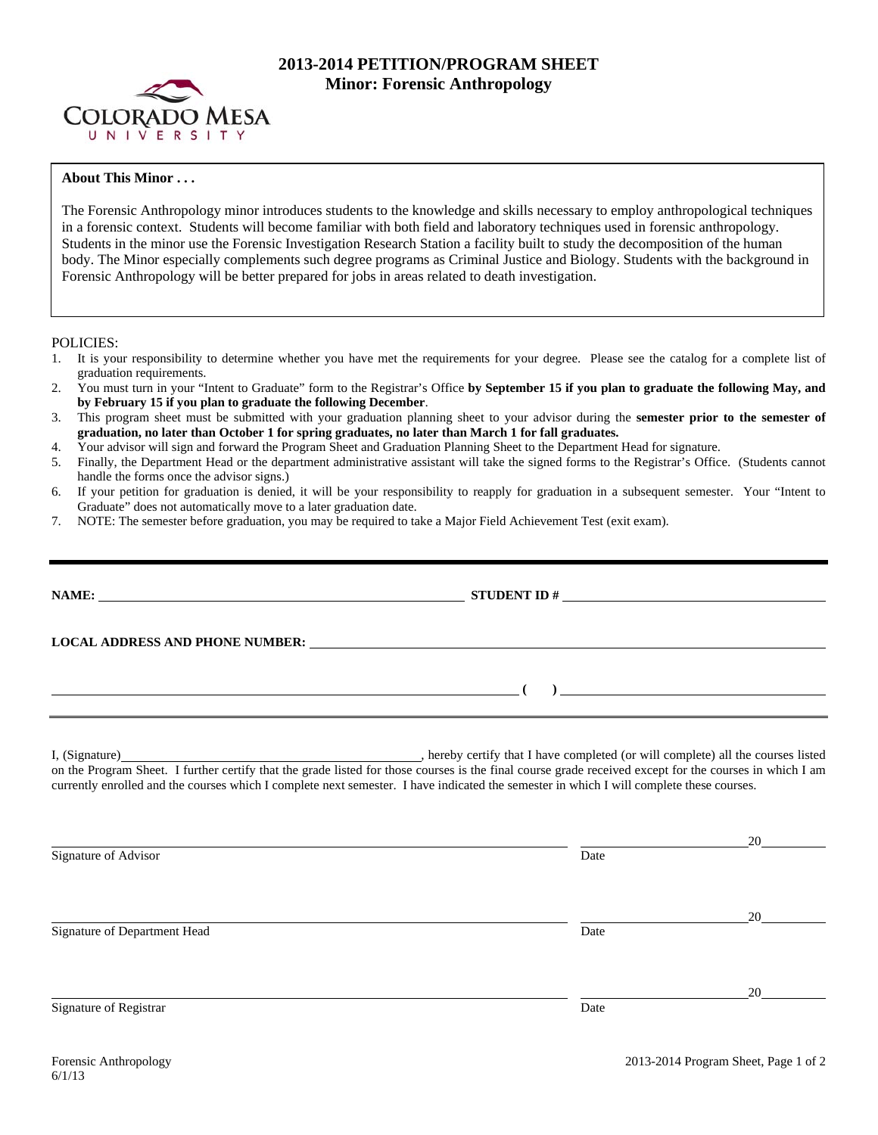

## **2013-2014 PETITION/PROGRAM SHEET Minor: Forensic Anthropology**

## **About This Minor . . .**

The Forensic Anthropology minor introduces students to the knowledge and skills necessary to employ anthropological techniques in a forensic context. Students will become familiar with both field and laboratory techniques used in forensic anthropology. Students in the minor use the Forensic Investigation Research Station a facility built to study the decomposition of the human body. The Minor especially complements such degree programs as Criminal Justice and Biology. Students with the background in Forensic Anthropology will be better prepared for jobs in areas related to death investigation.

POLICIES:

- 1. It is your responsibility to determine whether you have met the requirements for your degree. Please see the catalog for a complete list of graduation requirements.
- 2. You must turn in your "Intent to Graduate" form to the Registrar's Office **by September 15 if you plan to graduate the following May, and by February 15 if you plan to graduate the following December**.
- 3. This program sheet must be submitted with your graduation planning sheet to your advisor during the **semester prior to the semester of graduation, no later than October 1 for spring graduates, no later than March 1 for fall graduates.**
- 4. Your advisor will sign and forward the Program Sheet and Graduation Planning Sheet to the Department Head for signature.
- 5. Finally, the Department Head or the department administrative assistant will take the signed forms to the Registrar's Office. (Students cannot handle the forms once the advisor signs.)
- 6. If your petition for graduation is denied, it will be your responsibility to reapply for graduation in a subsequent semester. Your "Intent to Graduate" does not automatically move to a later graduation date.
- 7. NOTE: The semester before graduation, you may be required to take a Major Field Achievement Test (exit exam).

| NAME: NAME:                  | STUDENT ID $\#$                                                                                                                                                                                                                                                                                                                                                            |                |
|------------------------------|----------------------------------------------------------------------------------------------------------------------------------------------------------------------------------------------------------------------------------------------------------------------------------------------------------------------------------------------------------------------------|----------------|
|                              | LOCAL ADDRESS AND PHONE NUMBER: Under the contract of the contract of the contract of the contract of the contract of the contract of the contract of the contract of the contract of the contract of the contract of the cont                                                                                                                                             |                |
|                              |                                                                                                                                                                                                                                                                                                                                                                            | $\overline{a}$ |
|                              | I, (Signature) (Signature) (Signature) (Signature) (Signature) (Signature) (Signature) all the courses listed on the Program Sheet. I further certify that the grade listed for those courses is the final course grade receiv<br>currently enrolled and the courses which I complete next semester. I have indicated the semester in which I will complete these courses. |                |
| Signature of Advisor         | Date                                                                                                                                                                                                                                                                                                                                                                       | 20             |
| Signature of Department Head | Date                                                                                                                                                                                                                                                                                                                                                                       | 20             |
| Signature of Registrar       | Date                                                                                                                                                                                                                                                                                                                                                                       | 20             |